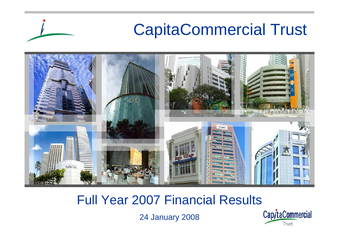

### Full Year 2007 Financial Results

24 January 2008

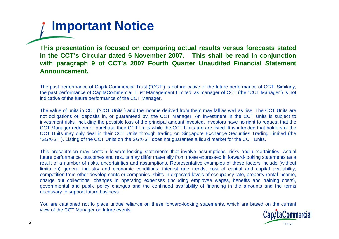**Important Notice**

**This presentation is focused on comparing actual results versus forecasts stated in the CCT's Circular dated 5 November 2007. This shall be read in conjunction with paragraph 9 of CCT's 2007 Fourth Quarter Unaudited Financial Statement Announcement.**

The past performance of CapitaCommercial Trust ("CCT") is not indicative of the future performance of CCT. Similarly, the past performance of CapitaCommercial Trust Management Limited, as manager of CCT (the "CCT Manager") is not indicative of the future performance of the CCT Manager.

The value of units in CCT ("CCT Units") and the income derived from them may fall as well as rise. The CCT Units are not obligations of, deposits in, or guaranteed by, the CCT Manager. An investment in the CCT Units is subject to investment risks, including the possible loss of the principal amount invested. Investors have no right to request that the CCT Manager redeem or purchase their CCT Units while the CCT Units are are listed. It is intended that holders of the CCT Units may only deal in their CCT Units through trading on Singapore Exchange Securities Trading Limited (the "SGX-ST"). Listing of the CCT Units on the SGX-ST does not guarantee a liquid market for the CCT Units.

This presentation may contain forward-looking statements that involve assumptions, risks and uncertainties. Actual future performance, outcomes and results may differ materially from those expressed in forward-looking statements as a result of a number of risks, uncertainties and assumptions. Representative examples of these factors include (without limitation) general industry and economic conditions, interest rate trends, cost of capital and capital availability, competition from other developments or companies, shifts in expected levels of occupancy rate, property rental income, charge out collections, changes in operating expenses (including employee wages, benefits and training costs), governmental and public policy changes and the continued availability of financing in the amounts and the terms necessary to support future business.

You are cautioned not to place undue reliance on these forward-looking statements, which are based on the current view of the CCT Manager on future events.

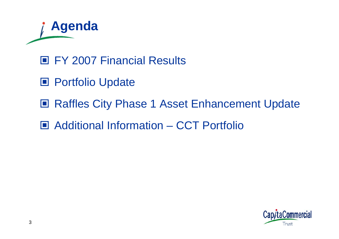

- FY 2007 Financial Results
- Portfolio Update
- **Raffles City Phase 1 Asset Enhancement Update**
- Additional Information CCT Portfolio

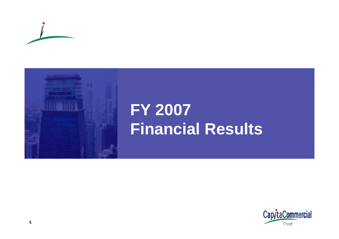



# **FY 2007 Financial Results**

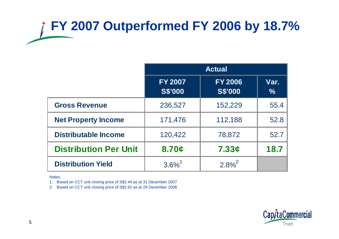# **FY 2007 Outperformed FY 2006 by 18.7%**

|                              | <b>Actual</b>                    |                                  |              |  |  |
|------------------------------|----------------------------------|----------------------------------|--------------|--|--|
|                              | <b>FY 2007</b><br><b>S\$'000</b> | <b>FY 2006</b><br><b>S\$'000</b> | Var.<br>$\%$ |  |  |
| <b>Gross Revenue</b>         | 236,527                          | 152,229                          | 55.4         |  |  |
| <b>Net Property Income</b>   | 171,476                          | 112,188                          | 52.8         |  |  |
| <b>Distributable Income</b>  | 120,422                          | 78,872                           | 52.7         |  |  |
| <b>Distribution Per Unit</b> | 8.70c                            | 7.33c                            | 18.7         |  |  |
| <b>Distribution Yield</b>    | $3.6\%$ <sup>1</sup>             | $2.8\%^{2}$                      |              |  |  |

Notes:

1. Based on CCT unit closing price of S\$2.44 as at 31 December 2007

2. Based on CCT unit closing price of S\$2.62 as at 29 December 2006

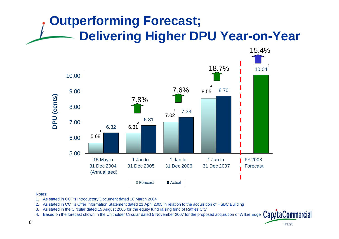### **Outperforming Forecast; Delivering Higher DPU Year-on-Year**



- 1. As stated in CCT's Introductory Document dated 16 March 2004
- 2. As stated in CCT's Offer Information Statement dated 21 April 2005 in relation to the acquisition of HSBC Building
- 3. As stated in the Circular dated 15 August 2006 for the equity fund raising fund of Raffles City
- 4. Based on the forecast shown in the Unitholder Circular dated 5 November 2007 for the proposed acquisition of Wilkie Edge

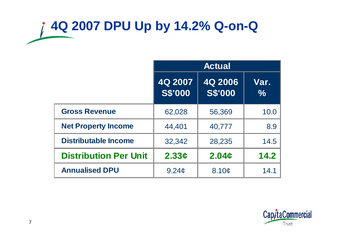# **4Q 2007 DPU Up by 14.2% Q-on-Q**

|                              | <b>Actual</b>             |                           |              |  |
|------------------------------|---------------------------|---------------------------|--------------|--|
|                              | 4Q 2007<br><b>S\$'000</b> | 4Q 2006<br><b>S\$'000</b> | Var.<br>$\%$ |  |
| <b>Gross Revenue</b>         | 62,028                    | 56,369                    | 10.0         |  |
| <b>Net Property Income</b>   | 44,401                    | 40,777                    | 8.9          |  |
| <b>Distributable Income</b>  | 32,342                    | 28,235                    | 14.5         |  |
| <b>Distribution Per Unit</b> | 2.33c                     | 2.04 <sub>c</sub>         | 14.2         |  |
| <b>Annualised DPU</b>        | 9.24c                     | 8.10¢                     | 14.1         |  |

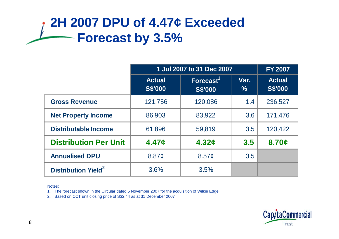### **2H 2007 DPU of 4.47¢ Exceeded Forecast by 3.5%**

|                                       | 1 Jul 2007 to 31 Dec 2007       |                                |              | <b>FY 2007</b>                  |
|---------------------------------------|---------------------------------|--------------------------------|--------------|---------------------------------|
|                                       | <b>Actual</b><br><b>S\$'000</b> | Forecast $1$<br><b>S\$'000</b> | Var.<br>$\%$ | <b>Actual</b><br><b>S\$'000</b> |
| <b>Gross Revenue</b>                  | 121,756                         | 120,086                        | 1.4          | 236,527                         |
| <b>Net Property Income</b>            | 86,903                          | 83,922                         | 3.6          | 171,476                         |
| <b>Distributable Income</b>           | 61,896                          | 59,819                         | 3.5          | 120,422                         |
| <b>Distribution Per Unit</b>          | 4.47c                           | 4.32c                          | 3.5          | 8.70c                           |
| <b>Annualised DPU</b>                 | 8.87 <sub>c</sub>               | 8.57c                          | 3.5          |                                 |
| <b>Distribution Yield<sup>2</sup></b> | 3.6%                            | 3.5%                           |              |                                 |

Notes:

1. The forecast shown in the Circular dated 5 November 2007 for the acquisition of Wilkie Edge

2. Based on CCT unit closing price of S\$2.44 as at 31 December 2007

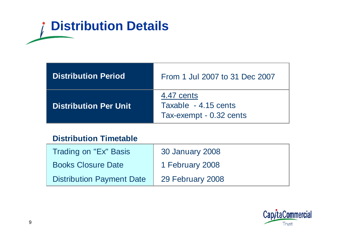# **Distribution Details**

| <b>Distribution Period</b>   | From 1 Jul 2007 to 31 Dec 2007                                |
|------------------------------|---------------------------------------------------------------|
| <b>Distribution Per Unit</b> | 4.47 cents<br>Taxable - 4.15 cents<br>Tax-exempt - 0.32 cents |

#### **Distribution Timetable**

| Trading on "Ex" Basis            | 30 January 2008  |
|----------------------------------|------------------|
| <b>Books Closure Date</b>        | 1 February 2008  |
| <b>Distribution Payment Date</b> | 29 February 2008 |

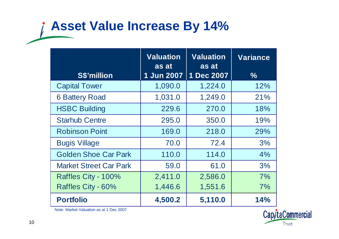### **Asset Value Increase By 14%**

|                               | <b>Valuation</b><br><b>Valuation</b><br>as at<br>as at |            | <b>Variance</b> |
|-------------------------------|--------------------------------------------------------|------------|-----------------|
| <b>S\$'million</b>            | 1 Jun 2007                                             | 1 Dec 2007 | $\frac{0}{0}$   |
| <b>Capital Tower</b>          | 1,090.0                                                | 1,224.0    | 12%             |
| <b>6 Battery Road</b>         | 1,031.0                                                | 1,249.0    | 21%             |
| <b>HSBC Building</b>          | 229.6                                                  | 270.0      | 18%             |
| <b>Starhub Centre</b>         | 295.0                                                  | 350.0      | 19%             |
| <b>Robinson Point</b>         | 169.0                                                  | 218.0      | 29%             |
| <b>Bugis Village</b>          | 70.0                                                   | 72.4       | 3%              |
| <b>Golden Shoe Car Park</b>   | 110.0                                                  | 114.0      | 4%              |
| <b>Market Street Car Park</b> | 59.0                                                   | 61.0       | 3%              |
| Raffles City - 100%           | 2,411.0                                                | 2,586.0    | 7%              |
| Raffles City - 60%            | 1,446.6                                                | 1,551.6    | 7%              |
| <b>Portfolio</b>              | 4,500.2                                                | 5,110.0    | 14%             |

Note: Market Valuation as at 1 Dec 2007

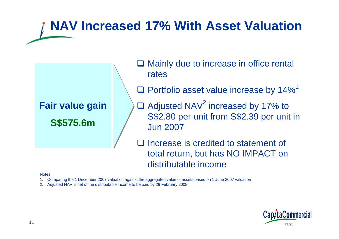### **NAV Increased 17% With Asset Valuation**



- **□ Mainly due to increase in office rental** rates
- $\square$  Portfolio asset value increase by 14%<sup>1</sup>
- $\Box$  Adjusted NAV<sup>2</sup> increased by 17% to S\$2.80 per unit from S\$2.39 per unit in Jun 2007
- $\Box$  Increase is credited to statement of total return, but has NO IMPACT on distributable income

- 1. Comparing the 1 December 2007 valuation against the aggregated value of assets based on 1 June 2007 valuation
- 2. Adjusted NAV is net of the distributable income to be paid by 29 February 2008

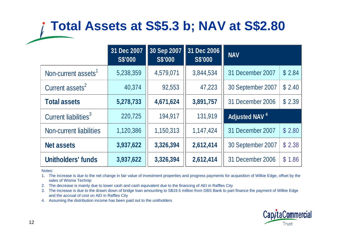### **Total Assets at S\$5.3 b; NAV at S\$2.80**

|                                  | 31 Dec 2007<br><b>S\$'000</b> | 30 Sep 2007<br><b>S\$'000</b> | 31 Dec 2006<br><b>S\$'000</b> | <b>NAV</b>                |        |
|----------------------------------|-------------------------------|-------------------------------|-------------------------------|---------------------------|--------|
| Non-current assets <sup>1</sup>  | 5,238,359                     | 4,579,071                     | 3,844,534                     | 31 December 2007          | \$2.84 |
| Current assets <sup>2</sup>      | 40,374                        | 92,553                        | 47,223                        | 30 September 2007         | \$2.40 |
| <b>Total assets</b>              | 5,278,733                     | 4,671,624                     | 3,891,757                     | 31 December 2006          | \$2.39 |
| Current liabilities <sup>3</sup> | 220,725                       | 194,917                       | 131,919                       | Adjusted NAV <sup>4</sup> |        |
| Non-current liabilities          | 1,120,386                     | 1,150,313                     | 1,147,424                     | 31 December 2007          | \$2.80 |
| <b>Net assets</b>                | 3,937,622                     | 3,326,394                     | 2,612,414                     | 30 September 2007         | \$2.38 |
| <b>Unitholders' funds</b>        | 3,937,622                     | 3,326,394                     | 2,612,414                     | 31 December 2006          | \$1.86 |

Notes:

1. The increase is due to the net change in fair value of investment properties and progress payments for acquisition of Wilkie Edge, offset by the sales of Wisma Technip

2. The decrease is mainly due to lower cash and cash equivalent due to the financing of AEI in Raffles City

3. The increase is due to the drawn down of bridge loan amounting to S\$19.5 million from DBS Bank to part finance the payment of Wilkie Edge and the accrual of cost on AEI in Raffles City

4. Assuming the distribution income has been paid out to the unitholders

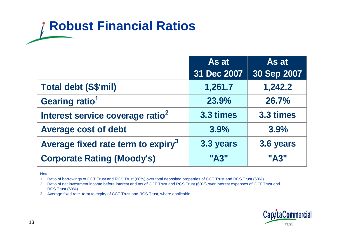## **Robust Financial Ratios**

|                                                | As at       | As at       |
|------------------------------------------------|-------------|-------------|
|                                                | 31 Dec 2007 | 30 Sep 2007 |
| Total debt (S\$'mil)                           | 1,261.7     | 1,242.2     |
| Gearing ratio <sup>1</sup>                     | 23.9%       | 26.7%       |
| Interest service coverage ratio <sup>2</sup>   | 3.3 times   | 3.3 times   |
| <b>Average cost of debt</b>                    | 3.9%        | 3.9%        |
| Average fixed rate term to expiry <sup>3</sup> | 3.3 years   | 3.6 years   |
| <b>Corporate Rating (Moody's)</b>              | "A3"        | "A3"        |

Notes:

1. Ratio of borrowings of CCT Trust and RCS Trust (60%) over total deposited properties of CCT Trust and RCS Trust (60%)

2. Ratio of net investment income before interest and tax of CCT Trust and RCS Trust (60%) over interest expenses of CCT Trust and RCS Trust (60%)

3. Average fixed rate term to expiry of CCT Trust and RCS Trust, where applicable

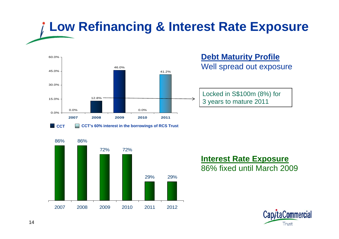# **Low Refinancing & Interest Rate Exposure**



#### **Debt Maturity Profile** Well spread out exposure

Locked in S\$100m (8%) for 3 years to mature 2011



#### **Interest Rate Exposure** 86% fixed until March 2009

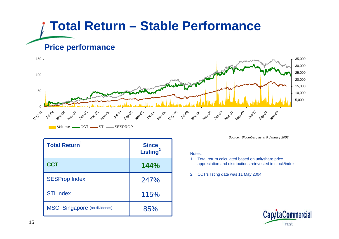## **Total Return – Stable Performance Price performance**



| <b>Total Return<sup>1</sup></b>      | <b>Since</b><br>Listing <sup>2</sup> |
|--------------------------------------|--------------------------------------|
| <b>CCT</b>                           | 144%                                 |
| <b>SESProp Index</b>                 | 247%                                 |
| <b>STI Index</b>                     | 115%                                 |
| <b>MSCI Singapore</b> (no dividends) | 85%                                  |

*Source: Bloomberg as at 9 January 2008*

- 1. Total return calculated based on unit/share price appreciation and distributions reinvested in stock/index
- 2. CCT's listing date was 11 May 2004

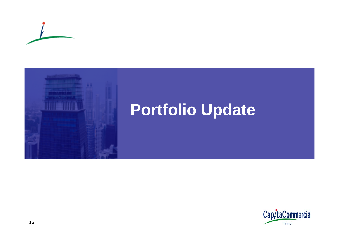



# **Portfolio Update**

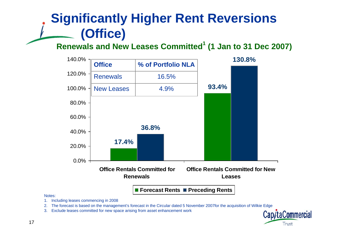### **Significantly Higher Rent Reversions (Office)**

#### **Renewals and New Leases Committed<sup>1</sup> (1 Jan to 31 Dec 2007)**



- 1. Including leases commencing in 2008
- 2. The forecast is based on the management's forecast in the Circular dated 5 November 2007for the acquisition of Wilkie Edge
- 3. Exclude leases committed for new space arising from asset enhancement work

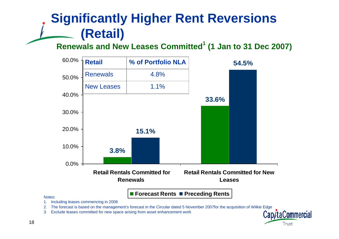### **Significantly Higher Rent Reversions (Retail)**

#### **Renewals and New Leases Committed<sup>1</sup> (1 Jan to 31 Dec 2007)**



Notes:

1. Including leases commencing in 2008

2. The forecast is based on the management's forecast in the Circular dated 5 November 2007for the acquisition of Wilkie Edge

3. Exclude leases committed for new space arising from asset enhancement work

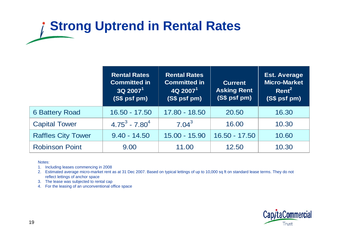# **Strong Uptrend in Rental Rates**

|                           | <b>Rental Rates</b><br><b>Committed in</b><br>$3Q$ 2007 <sup>1</sup><br>(S\$ psf pm) | <b>Rental Rates</b><br><b>Committed in</b><br>$4Q$ 2007 <sup>1</sup><br>(S\$ psf pm) | <b>Current</b><br><b>Asking Rent</b><br>(S\$ psf pm) | <b>Est. Average</b><br><b>Micro-Market</b><br>Rent <sup>2</sup><br>(S\$ psf pm) |
|---------------------------|--------------------------------------------------------------------------------------|--------------------------------------------------------------------------------------|------------------------------------------------------|---------------------------------------------------------------------------------|
| <b>6 Battery Road</b>     | $16.50 - 17.50$                                                                      | 17.80 - 18.50                                                                        | 20,50                                                | 16.30                                                                           |
| <b>Capital Tower</b>      | $4.75^3 - 7.80^4$                                                                    | $7.04^{3}$                                                                           | 16.00                                                | 10.30                                                                           |
| <b>Raffles City Tower</b> | $9.40 - 14.50$                                                                       | 15.00 - 15.90                                                                        | $16.50 - 17.50$                                      | 10.60                                                                           |
| <b>Robinson Point</b>     | 9.00                                                                                 | 11.00                                                                                | 12.50                                                | 10.30                                                                           |

Notes:

1. Including leases commencing in 2008

2. Estimated average micro-market rent as at 31 Dec 2007. Based on typical lettings of up to 10,000 sq ft on standard lease terms. They do not reflect lettings of anchor space

3. The lease was subjected to rental cap

4. For the leasing of an unconventional office space

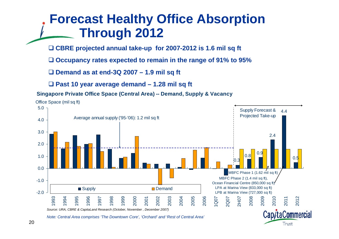### **Forecast Healthy Office Absorption Through 2012**

**CBRE projected annual take-up for 2007-2012 is 1.6 mil sq ft** 

**Occupancy rates expected to remain in the range of 91% to 95%**

**Demand as at end-3Q 2007 – 1.9 mil sq ft**

**Past 10 year average demand – 1.28 mil sq ft**

#### **Singapore Private Office Space (Central Area) -- Demand, Supply & Vacancy**



Trust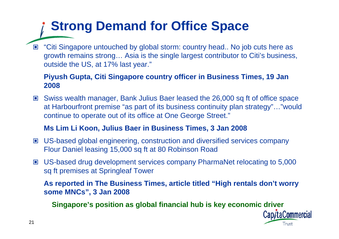### **Strong Demand for Office Space**

■ "Citi Singapore untouched by global storm: country head.. No job cuts here as growth remains strong… Asia is the single largest contributor to Citi's business, outside the US, at 17% last year."

#### **Piyush Gupta, Citi Singapore country officer in Business Times, 19 Jan 2008**

 Swiss wealth manager, Bank Julius Baer leased the 26,000 sq ft of office space at Harbourfront premise "as part of its business continuity plan strategy"…"would continue to operate out of its office at One George Street."

#### **Ms Lim Li Koon, Julius Baer in Business Times, 3 Jan 2008**

- US-based global engineering, construction and diversified services company Flour Daniel leasing 15,000 sq ft at 80 Robinson Road
- US-based drug development services company PharmaNet relocating to 5,000 sq ft premises at Springleaf Tower

**As reported in The Business Times, article titled "High rentals don't worry some MNCs", 3 Jan 2008**

**Singapore's position as global financial hub is key economic driver**

Cap/taCommercial Trust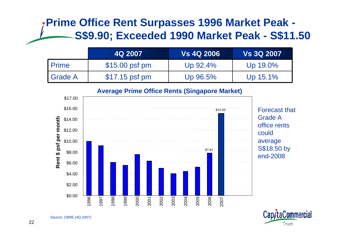### **Prime Office Rent Surpasses 1996 Market Peak - S\$9.90; Exceeded 1990 Market Peak - S\$11.50**

|              | 4Q 2007        | <b>Vs 4Q 2006</b> | <b>Vs 3Q 2007</b> |
|--------------|----------------|-------------------|-------------------|
| <b>Prime</b> | \$15.00 psf pm | Up $92.4\%$       | Up 19.0%          |
| I Grade A    | \$17.15 psf pm | Up 96.5%          | Up $15.1\%$       |

#### **Average Prime Office Rents (Singapore Market)**





Source: CBRE (4Q 2007)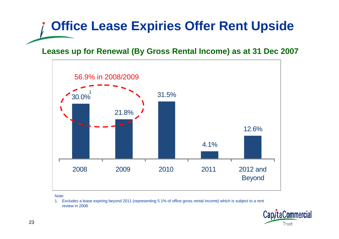## **Office Lease Expiries Offer Rent Upside**

#### **Leases up for Renewal (By Gross Rental Income) as at 31 Dec 2007**



Note:

1. Excludes a lease expiring beyond 2011 (representing 5.1% of office gross rental income) which is subject to a rent review in 2008

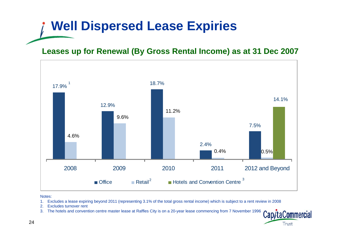### **Well Dispersed Lease Expiries**

#### **Leases up for Renewal (By Gross Rental Income) as at 31 Dec 2007**



- 1. Excludes a lease expiring beyond 2011 (representing 3.1% of the total gross rental income) which is subject to a rent review in 2008
- 2. Excludes turnover rent
- 3. The hotels and convention centre master lease at Raffles City is on a 20-year lease commencing from 7 November 1996

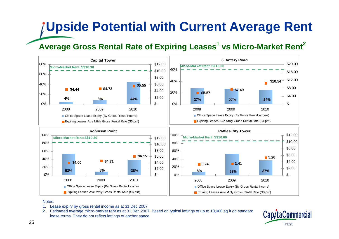# **Upside Potential with Current Average Rent**

#### **Average Gross Rental Rate of Expiring Leases<sup>1</sup> vs Micro-Market Rent<sup>2</sup>**



- 1. Lease expiry by gross rental income as at 31 Dec 2007
- 2. Estimated average micro-market rent as at 31 Dec 2007. Based on typical lettings of up to 10,000 sq ft on standard lease terms. They do not reflect lettings of anchor space

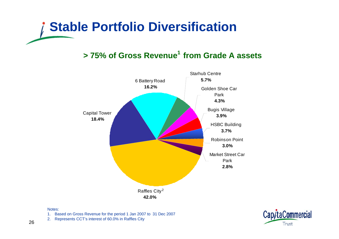

#### **> 75% of Gross Revenue<sup>1</sup> from Grade A assets**



- 1. Based on Gross Revenue for the period 1 Jan 2007 to 31 Dec 2007
- 2. Represents CCT's interest of 60.0% in Raffles City

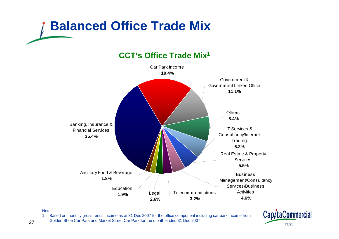



#### **CCT's Office Trade Mix1**

#### Note:

1. Based on monthly gross rental income as at 31 Dec 2007 for the office component including car park income from Golden Shoe Car Park and Market Street Car Park for the month ended 31 Dec 2007

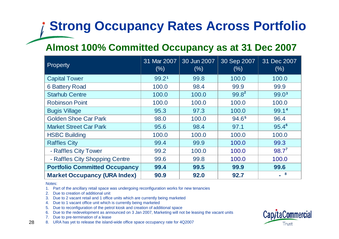### **Strong Occupancy Rates Across Portfolio**

### **Almost 100% Committed Occupancy as at 31 Dec 2007**

| Property                             | 31 Mar 2007<br>(% ) | 30 Jun 2007<br>$(\% )$ | 30 Sep 2007<br>(% ) | 31 Dec 2007<br>$(\% )$     |
|--------------------------------------|---------------------|------------------------|---------------------|----------------------------|
| <b>Capital Tower</b>                 | 99.21               | 99.8                   | 100.0               | 100.0                      |
| <b>6 Battery Road</b>                | 100.0               | 98.4                   | 99.9                | 99.9                       |
| <b>Starhub Centre</b>                | 100.0               | 100.0                  | $99.8^2$            | 99.0 <sup>3</sup>          |
| <b>Robinson Point</b>                | 100.0               | 100.0                  | 100.0               | 100.0                      |
| <b>Bugis Village</b>                 | 95.3                | 97.3                   | 100.0               | 99.14                      |
| <b>Golden Shoe Car Park</b>          | 98.0                | 100.0                  | 94.65               | 96.4                       |
| <b>Market Street Car Park</b>        | 95.6                | 98.4                   | 97.1                | $95.4^6$                   |
| <b>HSBC Building</b>                 | 100.0               | 100.0                  | 100.0               | 100.0                      |
| <b>Raffles City</b>                  | 99.4                | 99.9                   | 100.0               | 99.3                       |
| - Raffles City Tower                 | 99.2                | 100.0                  | 100.0               | $98.7^{7}$                 |
| - Raffles City Shopping Centre       | 99.6                | 99.8                   | 100.0               | 100.0                      |
| <b>Portfolio Committed Occupancy</b> | 99.4                | 99.5                   | 99.9                | 99.6                       |
| <b>Market Occupancy (URA Index)</b>  | 90.9                | 92.0                   | 92.7                | $\overline{\phantom{0}}$ 8 |

Notes:

1. Part of the ancillary retail space was undergoing reconfiguration works for new tenancies

2. Due to creation of additional unit

- 3. Due to 2 vacant retail and 1 office units which are currently being marketed
- 4. Due to 1 vacant office unit which is currently being marketed
- 5. Due to reconfiguration of the petrol kiosk and creation of additional space
- 6. Due to the redevelopment as announced on 3 Jan 2007, Marketing will not be leasing the vacant units
- 7. Due to pre-termination of a lease
- 8. URA has yet to release the island-wide office space occupancy rate for 4Q2007

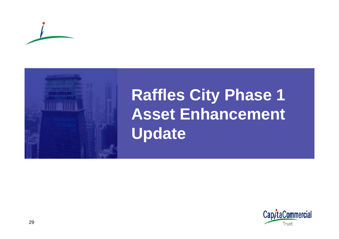



# **Raffles City Phase 1 Asset Enhancement Update**

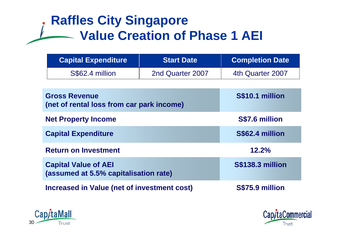### **Raffles City Singapore Value Creation of Phase 1 AEI**

| <b>Capital Expenditure</b> | <b>Start Date</b> | <b>Completion Date</b> |
|----------------------------|-------------------|------------------------|
| S\$62.4 million            | 2nd Quarter 2007  | 4th Quarter 2007       |

| <b>Gross Revenue</b><br>(net of rental loss from car park income)    | S\$10.1 million         |
|----------------------------------------------------------------------|-------------------------|
| <b>Net Property Income</b>                                           | S\$7.6 million          |
| <b>Capital Expenditure</b>                                           | S\$62.4 million         |
| <b>Return on Investment</b>                                          | 12.2%                   |
| <b>Capital Value of AEI</b><br>(assumed at 5.5% capitalisation rate) | <b>S\$138.3 million</b> |
| <b>Increased in Value (net of investment cost)</b>                   | S\$75.9 million         |



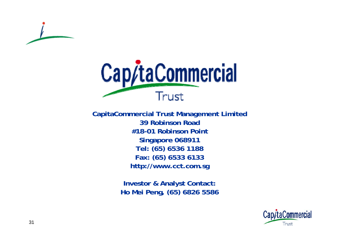



**CapitaCommercial Trust Management Limited 39 Robinson Road#18-01 Robinson PointSingapore 068911 Tel: (65) 6536 1188 Fax: (65) 6533 6133 http://www.cct.com.sg**

> **Investor & Analyst Contact: Ho Mei Peng, (65) 6826 5586**

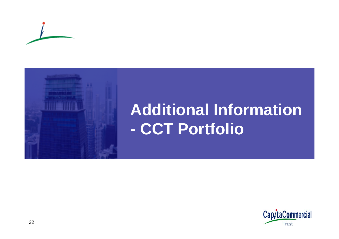



# **Additional Information CCT Portfolio**

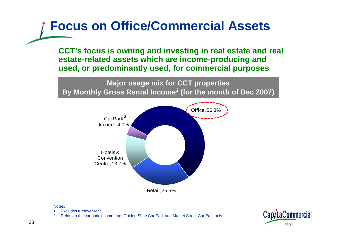### **Focus on Office/Commercial Assets**

**CCT's focus is owning and investing in real estate and real estate-related assets which are income-producing and used, or predominantly used, for commercial purposes**

**Major usage mix for CCT properties By Monthly Gross Rental Income<sup>1</sup> (for the month of Dec 2007)**



- 1. Excludes turnover rent
- 2. Refers to the car park income from Golden Shoe Car Park and Market Street Car Park only

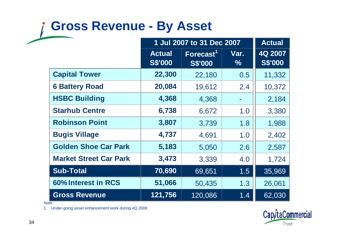### **Gross Revenue - By Asset**

|                               | 1 Jul 2007 to 31 Dec 2007       |                                         | <b>Actual</b> |                           |
|-------------------------------|---------------------------------|-----------------------------------------|---------------|---------------------------|
|                               | <b>Actual</b><br><b>S\$'000</b> | Forecast <sup>1</sup><br><b>S\$'000</b> | Var.<br>$\%$  | 4Q 2007<br><b>S\$'000</b> |
| <b>Capital Tower</b>          | 22,300                          | 22,180                                  | 0.5           | 11,332                    |
| <b>6 Battery Road</b>         | 20,084                          | 19,612                                  | 2.4           | 10,372                    |
| <b>HSBC Building</b>          | 4,368                           | 4,368                                   |               | 2,184                     |
| <b>Starhub Centre</b>         | 6,738                           | 6,672                                   | 1.0           | 3,380                     |
| <b>Robinson Point</b>         | 3,807                           | 3,739                                   | 1.8           | 1,988                     |
| <b>Bugis Village</b>          | 4,737                           | 4,691                                   | 1.0           | 2,402                     |
| <b>Golden Shoe Car Park</b>   | 5,183                           | 5,050                                   | 2.6           | 2,587                     |
| <b>Market Street Car Park</b> | 3,473                           | 3,339                                   | 4.0           | 1,724                     |
| <b>Sub-Total</b>              | 70,690                          | 69,651                                  | 1.5           | 35,969                    |
| 60% Interest in RCS           | 51,066                          | 50,435                                  | 1.3           | 26,061                    |
| <b>Gross Revenue</b>          | 121,756                         | 120,086                                 | 1.4           | 62,030                    |

Note:

1. Under-going asset enhancement work during 4Q 2006

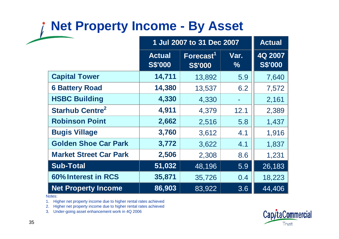### **Net Property Income - By Asset**

|                                   | 1 Jul 2007 to 31 Dec 2007       |                                         | <b>Actual</b> |                           |
|-----------------------------------|---------------------------------|-----------------------------------------|---------------|---------------------------|
|                                   | <b>Actual</b><br><b>S\$'000</b> | Forecast <sup>1</sup><br><b>S\$'000</b> | Var.<br>$\%$  | 4Q 2007<br><b>S\$'000</b> |
| <b>Capital Tower</b>              | 14,711                          | 13,892                                  | 5.9           | 7,640                     |
| <b>6 Battery Road</b>             | 14,380                          | 13,537                                  | 6.2           | 7,572                     |
| <b>HSBC Building</b>              | 4,330                           | 4,330                                   |               | 2,161                     |
| <b>Starhub Centre<sup>2</sup></b> | 4,911                           | 4,379                                   | 12.1          | 2,389                     |
| <b>Robinson Point</b>             | 2,662                           | 2,516                                   | 5.8           | 1,437                     |
| <b>Bugis Village</b>              | 3,760                           | 3,612                                   | 4.1           | 1,916                     |
| <b>Golden Shoe Car Park</b>       | 3,772                           | 3,622                                   | 4.1           | 1,837                     |
| <b>Market Street Car Park</b>     | 2,506                           | 2,308                                   | 8.6           | 1,231                     |
| <b>Sub-Total</b>                  | 51,032                          | 48,196                                  | 5.9           | 26,183                    |
| 60% Interest in RCS               | 35,871                          | 35,726                                  | 0.4           | 18,223                    |
| <b>Net Property Income</b>        | 86,903                          | 83,922                                  | 3.6           | 44,406                    |

Notes:

1. Higher net property income due to higher rental rates achieved

2. Higher net property income due to higher rental rates achieved

3. Under-going asset enhancement work in 4Q 2006

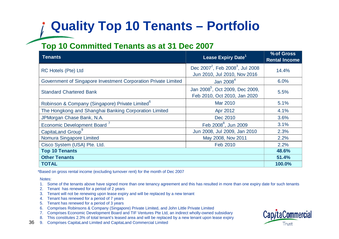### **Quality Top 10 Tenants – Portfolio**

#### **Top 10 Committed Tenants as at 31 Dec 2007**

| <b>Tenants</b>                                                 | Lease Expiry Date <sup>1</sup>                                                           | % of Gross<br><b>Rental Income</b> |
|----------------------------------------------------------------|------------------------------------------------------------------------------------------|------------------------------------|
| <b>RC Hotels (Pte) Ltd</b>                                     | Dec 2007 <sup>2</sup> , Feb 2008 <sup>3</sup> , Jul 2008<br>Jun 2010, Jul 2010, Nov 2016 | 14.4%                              |
| Government of Singapore Investment Corporation Private Limited | Jan $20084$                                                                              | 6.0%                               |
| <b>Standard Chartered Bank</b>                                 | Jan 2008 <sup>5</sup> , Oct 2009, Dec 2009,<br>Feb 2010, Oct 2010, Jan 2020              | 5.5%                               |
| Robinson & Company (Singapore) Private Limited <sup>6</sup>    | Mar 2010                                                                                 | 5.1%                               |
| The Hongkong and Shanghai Banking Corporation Limited          | Apr 2012                                                                                 | 4.1%                               |
| JPMorgan Chase Bank, N.A.                                      | Dec 2010                                                                                 | 3.6%                               |
| Economic Development Board <sup>7</sup>                        | Feb 2008 <sup>8</sup> , Jun 2009                                                         | 3.1%                               |
| CapitaLand Group <sup>9</sup>                                  | Jun 2008, Jul 2009, Jan 2010                                                             | 2.3%                               |
| Nomura Singapore Limited                                       | May 2008, Nov 2011                                                                       | 2.2%                               |
| Cisco System (USA) Pte. Ltd.                                   | Feb 2010                                                                                 | 2.2%                               |
| <b>Top 10 Tenants</b>                                          |                                                                                          |                                    |
| <b>Other Tenants</b>                                           |                                                                                          |                                    |
| <b>TOTAL</b>                                                   |                                                                                          | 100.0%                             |

\*Based on gross rental income (excluding turnover rent) for the month of Dec 2007

- 1. Some of the tenants above have signed more than one tenancy agreement and this has resulted in more than one expiry date for such tenants
- 2. Tenant has renewed for a period of 2 years
- 3. Tenant will not be renewing upon lease expiry and will be replaced by a new tenant
- 4. Tenant has renewed for a period of 7 years
- 5. Tenant has renewed for a period of 3 years
- 6. Comprises Robinsons & Company (Singapore) Private Limited, and John Little Private Limited
- 7. Comprises Economic Development Board and TIF Ventures Pte Ltd, an indirect wholly-owned subsidiary
- 8. This constitutes 2.3% of total tenant's leased area and will be replaced by a new tenant upon lease expiry
- 369. Comprises CapitaLand Limited and CapitaLand Commercial Limited